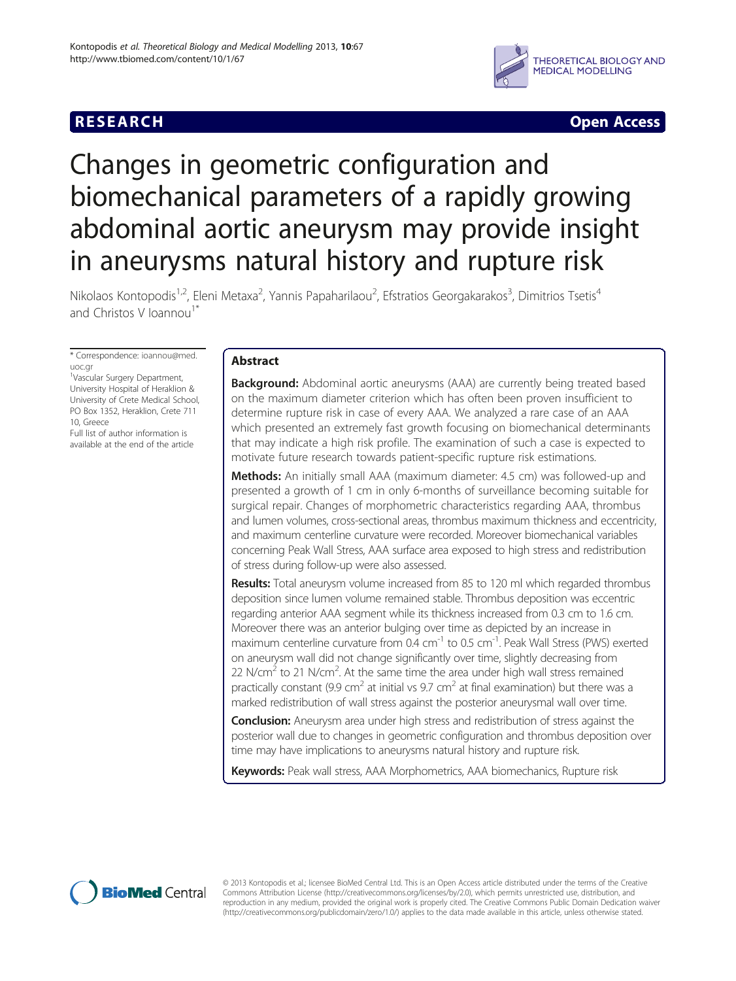# **RESEARCH RESEARCH** *CHECKER CHECKER CHECKER CHECKER CHECKER CHECKER CHECKER CHECKER CHECKER CHECKER CHECKER*



# Changes in geometric configuration and biomechanical parameters of a rapidly growing abdominal aortic aneurysm may provide insight in aneurysms natural history and rupture risk

Nikolaos Kontopodis<sup>1,2</sup>, Eleni Metaxa<sup>2</sup>, Yannis Papaharilaou<sup>2</sup>, Efstratios Georgakarakos<sup>3</sup>, Dimitrios Tsetis<sup>4</sup> and Christos V Ioannou<sup>1\*</sup>

\* Correspondence: [ioannou@med.](mailto:ioannou@med.uoc.gr) [uoc.gr](mailto:ioannou@med.uoc.gr)

1 Vascular Surgery Department, University Hospital of Heraklion & University of Crete Medical School, PO Box 1352, Heraklion, Crete 711 10, Greece

Full list of author information is available at the end of the article

# Abstract

**Background:** Abdominal aortic aneurysms (AAA) are currently being treated based on the maximum diameter criterion which has often been proven insufficient to determine rupture risk in case of every AAA. We analyzed a rare case of an AAA which presented an extremely fast growth focusing on biomechanical determinants that may indicate a high risk profile. The examination of such a case is expected to motivate future research towards patient-specific rupture risk estimations.

Methods: An initially small AAA (maximum diameter: 4.5 cm) was followed-up and presented a growth of 1 cm in only 6-months of surveillance becoming suitable for surgical repair. Changes of morphometric characteristics regarding AAA, thrombus and lumen volumes, cross-sectional areas, thrombus maximum thickness and eccentricity, and maximum centerline curvature were recorded. Moreover biomechanical variables concerning Peak Wall Stress, AAA surface area exposed to high stress and redistribution of stress during follow-up were also assessed.

Results: Total aneurysm volume increased from 85 to 120 ml which regarded thrombus deposition since lumen volume remained stable. Thrombus deposition was eccentric regarding anterior AAA segment while its thickness increased from 0.3 cm to 1.6 cm. Moreover there was an anterior bulging over time as depicted by an increase in maximum centerline curvature from  $0.4 \text{ cm}^{-1}$  to  $0.5 \text{ cm}^{-1}$ . Peak Wall Stress (PWS) exerted on aneurysm wall did not change significantly over time, slightly decreasing from 22 N/cm<sup>2</sup> to 21 N/cm<sup>2</sup>. At the same time the area under high wall stress remained practically constant (9.9 cm<sup>2</sup> at initial vs 9.7 cm<sup>2</sup> at final examination) but there was a marked redistribution of wall stress against the posterior aneurysmal wall over time.

**Conclusion:** Aneurysm area under high stress and redistribution of stress against the posterior wall due to changes in geometric configuration and thrombus deposition over time may have implications to aneurysms natural history and rupture risk.

Keywords: Peak wall stress, AAA Morphometrics, AAA biomechanics, Rupture risk



© 2013 Kontopodis et al.; licensee BioMed Central Ltd. This is an Open Access article distributed under the terms of the Creative Commons Attribution License [\(http://creativecommons.org/licenses/by/2.0\)](http://creativecommons.org/licenses/by/2.0), which permits unrestricted use, distribution, and reproduction in any medium, provided the original work is properly cited. The Creative Commons Public Domain Dedication waiver [\(http://creativecommons.org/publicdomain/zero/1.0/](http://creativecommons.org/publicdomain/zero/1.0/)) applies to the data made available in this article, unless otherwise stated.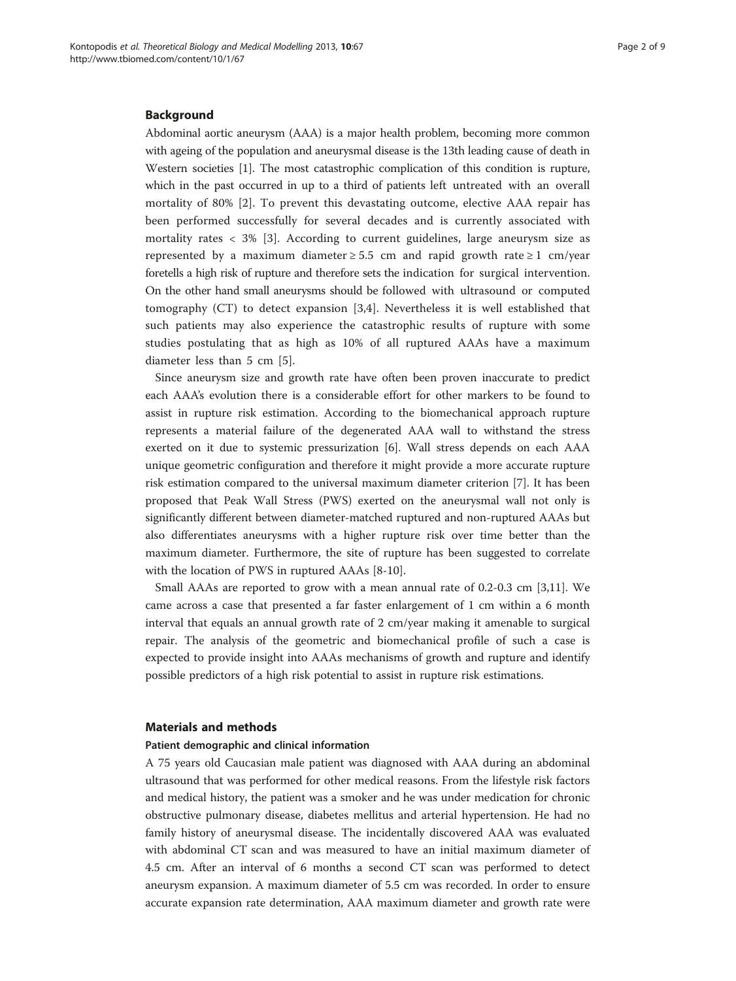#### Background

Abdominal aortic aneurysm (AAA) is a major health problem, becoming more common with ageing of the population and aneurysmal disease is the 13th leading cause of death in Western societies [\[1](#page-7-0)]. The most catastrophic complication of this condition is rupture, which in the past occurred in up to a third of patients left untreated with an overall mortality of 80% [\[2](#page-7-0)]. To prevent this devastating outcome, elective AAA repair has been performed successfully for several decades and is currently associated with mortality rates < 3% [\[3](#page-7-0)]. According to current guidelines, large aneurysm size as represented by a maximum diameter  $\geq$  5.5 cm and rapid growth rate  $\geq$  1 cm/year foretells a high risk of rupture and therefore sets the indication for surgical intervention. On the other hand small aneurysms should be followed with ultrasound or computed tomography (CT) to detect expansion [\[3,4](#page-7-0)]. Nevertheless it is well established that such patients may also experience the catastrophic results of rupture with some studies postulating that as high as 10% of all ruptured AAAs have a maximum diameter less than 5 cm [[5\]](#page-7-0).

Since aneurysm size and growth rate have often been proven inaccurate to predict each AAA's evolution there is a considerable effort for other markers to be found to assist in rupture risk estimation. According to the biomechanical approach rupture represents a material failure of the degenerated AAA wall to withstand the stress exerted on it due to systemic pressurization [\[6](#page-7-0)]. Wall stress depends on each AAA unique geometric configuration and therefore it might provide a more accurate rupture risk estimation compared to the universal maximum diameter criterion [\[7](#page-7-0)]. It has been proposed that Peak Wall Stress (PWS) exerted on the aneurysmal wall not only is significantly different between diameter-matched ruptured and non-ruptured AAAs but also differentiates aneurysms with a higher rupture risk over time better than the maximum diameter. Furthermore, the site of rupture has been suggested to correlate with the location of PWS in ruptured AAAs [\[8](#page-7-0)[-10](#page-8-0)].

Small AAAs are reported to grow with a mean annual rate of 0.2-0.3 cm [[3](#page-7-0),[11](#page-8-0)]. We came across a case that presented a far faster enlargement of 1 cm within a 6 month interval that equals an annual growth rate of 2 cm/year making it amenable to surgical repair. The analysis of the geometric and biomechanical profile of such a case is expected to provide insight into AAAs mechanisms of growth and rupture and identify possible predictors of a high risk potential to assist in rupture risk estimations.

#### Materials and methods

#### Patient demographic and clinical information

A 75 years old Caucasian male patient was diagnosed with AAA during an abdominal ultrasound that was performed for other medical reasons. From the lifestyle risk factors and medical history, the patient was a smoker and he was under medication for chronic obstructive pulmonary disease, diabetes mellitus and arterial hypertension. He had no family history of aneurysmal disease. The incidentally discovered AAA was evaluated with abdominal CT scan and was measured to have an initial maximum diameter of 4.5 cm. After an interval of 6 months a second CT scan was performed to detect aneurysm expansion. A maximum diameter of 5.5 cm was recorded. In order to ensure accurate expansion rate determination, AAA maximum diameter and growth rate were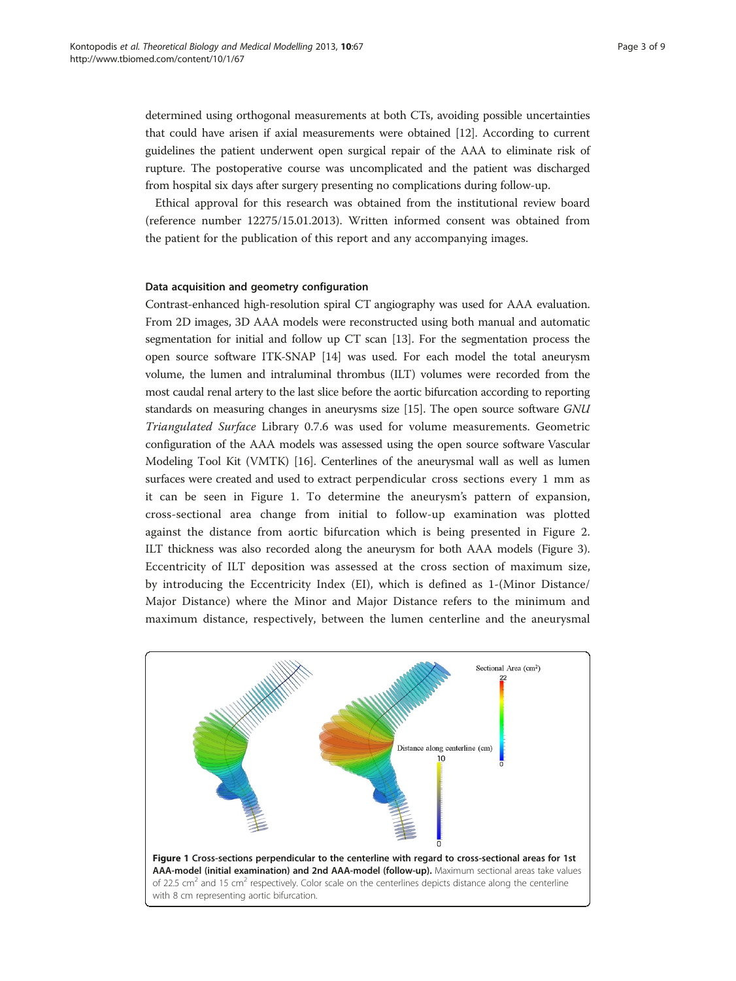<span id="page-2-0"></span>determined using orthogonal measurements at both CTs, avoiding possible uncertainties that could have arisen if axial measurements were obtained [[12](#page-8-0)]. According to current guidelines the patient underwent open surgical repair of the AAA to eliminate risk of rupture. The postoperative course was uncomplicated and the patient was discharged from hospital six days after surgery presenting no complications during follow-up.

Ethical approval for this research was obtained from the institutional review board (reference number 12275/15.01.2013). Written informed consent was obtained from the patient for the publication of this report and any accompanying images.

#### Data acquisition and geometry configuration

Contrast-enhanced high-resolution spiral CT angiography was used for AAA evaluation. From 2D images, 3D AAA models were reconstructed using both manual and automatic segmentation for initial and follow up CT scan [\[13\]](#page-8-0). For the segmentation process the open source software ITK-SNAP [[14](#page-8-0)] was used. For each model the total aneurysm volume, the lumen and intraluminal thrombus (ILT) volumes were recorded from the most caudal renal artery to the last slice before the aortic bifurcation according to reporting standards on measuring changes in aneurysms size [[15](#page-8-0)]. The open source software GNU Triangulated Surface Library 0.7.6 was used for volume measurements. Geometric configuration of the AAA models was assessed using the open source software Vascular Modeling Tool Kit (VMTK) [\[16\]](#page-8-0). Centerlines of the aneurysmal wall as well as lumen surfaces were created and used to extract perpendicular cross sections every 1 mm as it can be seen in Figure 1. To determine the aneurysm's pattern of expansion, cross-sectional area change from initial to follow-up examination was plotted against the distance from aortic bifurcation which is being presented in Figure [2](#page-3-0). ILT thickness was also recorded along the aneurysm for both AAA models (Figure [3](#page-4-0)). Eccentricity of ILT deposition was assessed at the cross section of maximum size, by introducing the Eccentricity Index (EI), which is defined as 1-(Minor Distance/ Major Distance) where the Minor and Major Distance refers to the minimum and maximum distance, respectively, between the lumen centerline and the aneurysmal

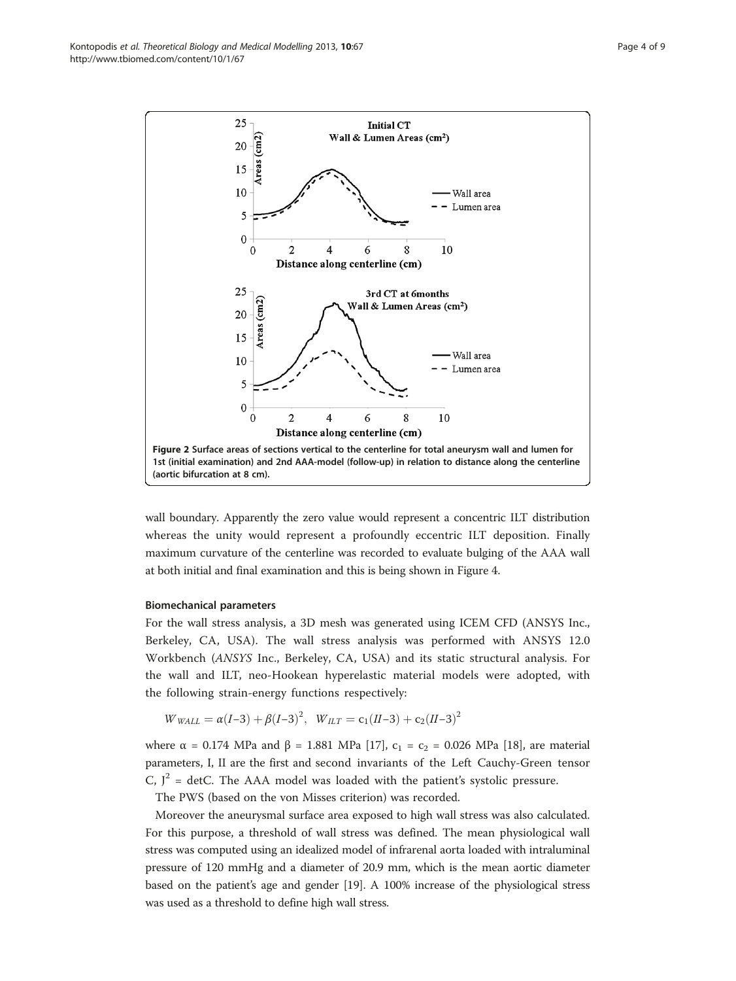<span id="page-3-0"></span>Kontopodis et al. Theoretical Biology and Medical Modelling 2013, 10:67 Page 4 of 9 http://www.tbiomed.com/content/10/1/67



wall boundary. Apparently the zero value would represent a concentric ILT distribution whereas the unity would represent a profoundly eccentric ILT deposition. Finally maximum curvature of the centerline was recorded to evaluate bulging of the AAA wall at both initial and final examination and this is being shown in Figure [4.](#page-4-0)

#### Biomechanical parameters

For the wall stress analysis, a 3D mesh was generated using ICEM CFD (ANSYS Inc., Berkeley, CA, USA). The wall stress analysis was performed with ANSYS 12.0 Workbench (ANSYS Inc., Berkeley, CA, USA) and its static structural analysis. For the wall and ILT, neo-Hookean hyperelastic material models were adopted, with the following strain-energy functions respectively:

$$
W_{\text{WALL}} = \alpha (I-3) + \beta (I-3)^2, \ \ W_{\text{LL}} = c_1 (II-3) + c_2 (II-3)^2
$$

where  $\alpha$  = 0.174 MPa and β = 1.881 MPa [\[17\]](#page-8-0), c<sub>1</sub> = c<sub>2</sub> = 0.026 MPa [\[18](#page-8-0)], are material parameters, I, II are the first and second invariants of the Left Cauchy-Green tensor C,  $J^2$  = detC. The AAA model was loaded with the patient's systolic pressure.

The PWS (based on the von Misses criterion) was recorded.

Moreover the aneurysmal surface area exposed to high wall stress was also calculated. For this purpose, a threshold of wall stress was defined. The mean physiological wall stress was computed using an idealized model of infrarenal aorta loaded with intraluminal pressure of 120 mmHg and a diameter of 20.9 mm, which is the mean aortic diameter based on the patient's age and gender [\[19\]](#page-8-0). A 100% increase of the physiological stress was used as a threshold to define high wall stress.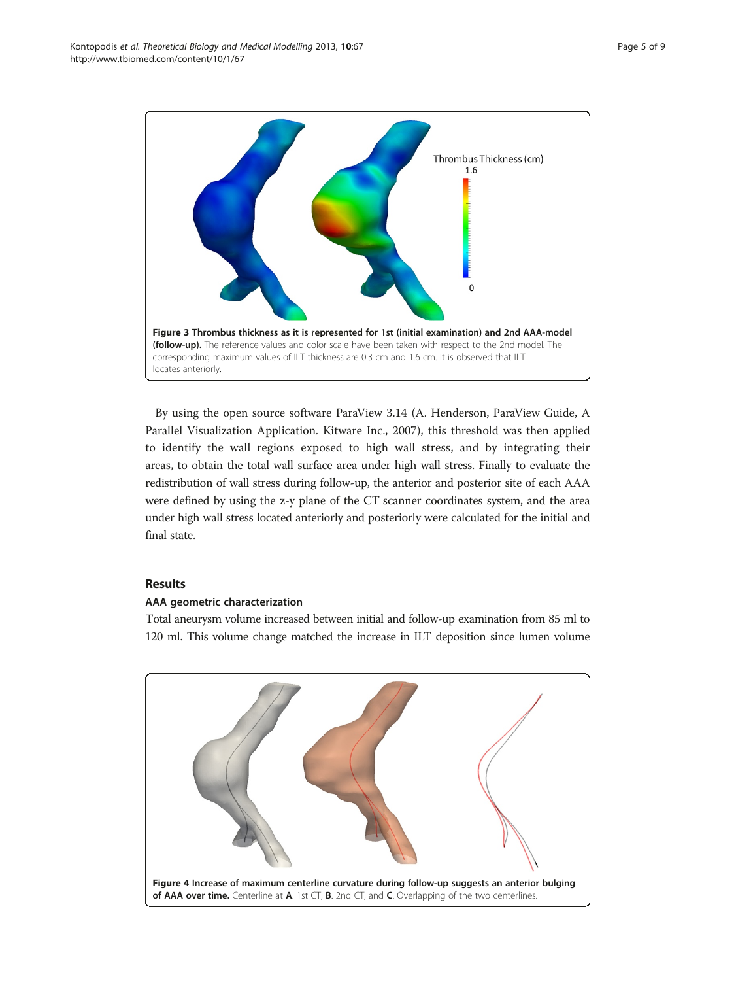<span id="page-4-0"></span>

By using the open source software ParaView 3.14 (A. Henderson, ParaView Guide, A Parallel Visualization Application. Kitware Inc., 2007), this threshold was then applied to identify the wall regions exposed to high wall stress, and by integrating their areas, to obtain the total wall surface area under high wall stress. Finally to evaluate the redistribution of wall stress during follow-up, the anterior and posterior site of each AAA were defined by using the z-y plane of the CT scanner coordinates system, and the area under high wall stress located anteriorly and posteriorly were calculated for the initial and final state.

# Results

# AAA geometric characterization

Total aneurysm volume increased between initial and follow-up examination from 85 ml to 120 ml. This volume change matched the increase in ILT deposition since lumen volume

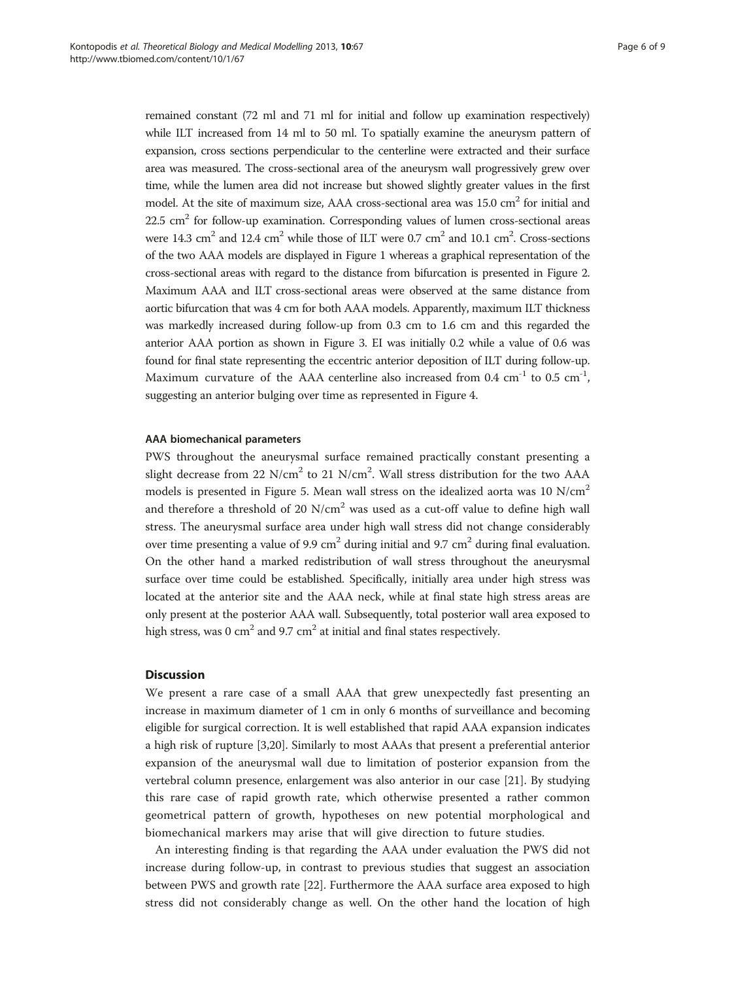remained constant (72 ml and 71 ml for initial and follow up examination respectively) while ILT increased from 14 ml to 50 ml. To spatially examine the aneurysm pattern of expansion, cross sections perpendicular to the centerline were extracted and their surface area was measured. The cross-sectional area of the aneurysm wall progressively grew over time, while the lumen area did not increase but showed slightly greater values in the first model. At the site of maximum size, AAA cross-sectional area was  $15.0 \text{ cm}^2$  for initial and  $22.5 \text{ cm}^2$  for follow-up examination. Corresponding values of lumen cross-sectional areas were 14.3 cm<sup>2</sup> and 12.4 cm<sup>2</sup> while those of ILT were 0.7 cm<sup>2</sup> and 10.1 cm<sup>2</sup>. Cross-sections of the two AAA models are displayed in Figure [1](#page-2-0) whereas a graphical representation of the cross-sectional areas with regard to the distance from bifurcation is presented in Figure [2](#page-3-0). Maximum AAA and ILT cross-sectional areas were observed at the same distance from aortic bifurcation that was 4 cm for both AAA models. Apparently, maximum ILT thickness was markedly increased during follow-up from 0.3 cm to 1.6 cm and this regarded the anterior AAA portion as shown in Figure [3](#page-4-0). EI was initially 0.2 while a value of 0.6 was found for final state representing the eccentric anterior deposition of ILT during follow-up. Maximum curvature of the AAA centerline also increased from  $0.4 \text{ cm}^{-1}$  to  $0.5 \text{ cm}^{-1}$ , suggesting an anterior bulging over time as represented in Figure [4.](#page-4-0)

### AAA biomechanical parameters

PWS throughout the aneurysmal surface remained practically constant presenting a slight decrease from 22  $N/cm^2$  to 21  $N/cm^2$ . Wall stress distribution for the two AAA models is presented in Figure [5](#page-6-0). Mean wall stress on the idealized aorta was 10 N/cm<sup>2</sup> and therefore a threshold of 20  $N/cm<sup>2</sup>$  was used as a cut-off value to define high wall stress. The aneurysmal surface area under high wall stress did not change considerably over time presenting a value of 9.9 cm<sup>2</sup> during initial and 9.7 cm<sup>2</sup> during final evaluation. On the other hand a marked redistribution of wall stress throughout the aneurysmal surface over time could be established. Specifically, initially area under high stress was located at the anterior site and the AAA neck, while at final state high stress areas are only present at the posterior AAA wall. Subsequently, total posterior wall area exposed to high stress, was 0 cm<sup>2</sup> and 9.7 cm<sup>2</sup> at initial and final states respectively.

#### **Discussion**

We present a rare case of a small AAA that grew unexpectedly fast presenting an increase in maximum diameter of 1 cm in only 6 months of surveillance and becoming eligible for surgical correction. It is well established that rapid AAA expansion indicates a high risk of rupture [[3,](#page-7-0)[20\]](#page-8-0). Similarly to most AAAs that present a preferential anterior expansion of the aneurysmal wall due to limitation of posterior expansion from the vertebral column presence, enlargement was also anterior in our case [\[21](#page-8-0)]. By studying this rare case of rapid growth rate, which otherwise presented a rather common geometrical pattern of growth, hypotheses on new potential morphological and biomechanical markers may arise that will give direction to future studies.

An interesting finding is that regarding the AAA under evaluation the PWS did not increase during follow-up, in contrast to previous studies that suggest an association between PWS and growth rate [[22\]](#page-8-0). Furthermore the AAA surface area exposed to high stress did not considerably change as well. On the other hand the location of high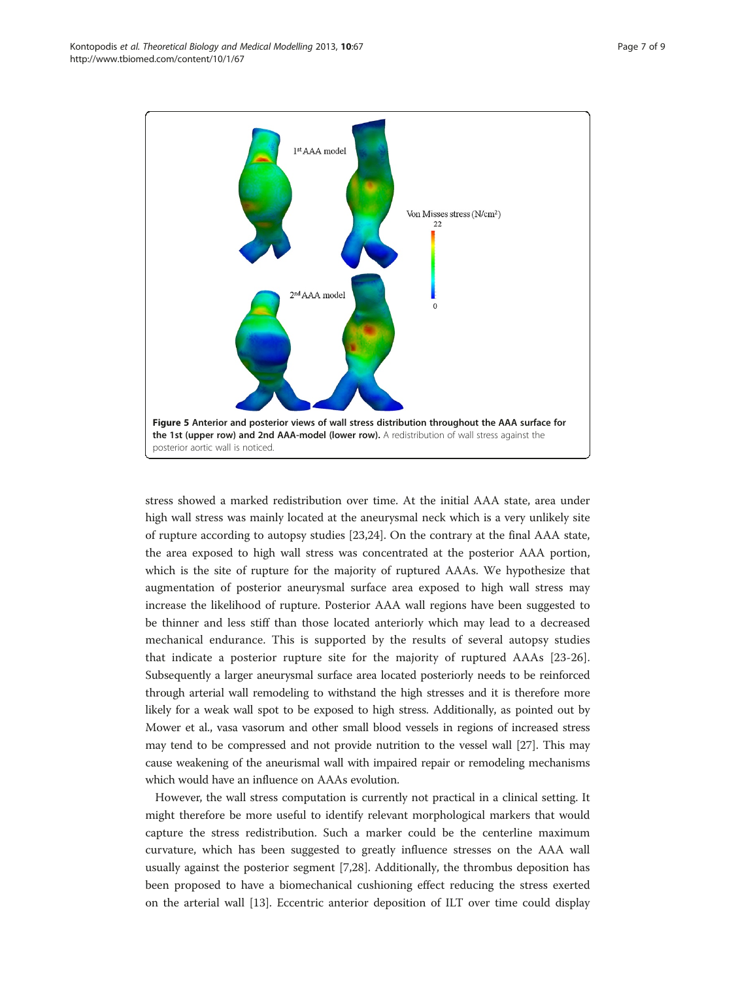<span id="page-6-0"></span>

stress showed a marked redistribution over time. At the initial AAA state, area under high wall stress was mainly located at the aneurysmal neck which is a very unlikely site of rupture according to autopsy studies [[23](#page-8-0),[24](#page-8-0)]. On the contrary at the final AAA state, the area exposed to high wall stress was concentrated at the posterior AAA portion, which is the site of rupture for the majority of ruptured AAAs. We hypothesize that augmentation of posterior aneurysmal surface area exposed to high wall stress may increase the likelihood of rupture. Posterior AAA wall regions have been suggested to be thinner and less stiff than those located anteriorly which may lead to a decreased mechanical endurance. This is supported by the results of several autopsy studies that indicate a posterior rupture site for the majority of ruptured AAAs [[23-26](#page-8-0)]. Subsequently a larger aneurysmal surface area located posteriorly needs to be reinforced through arterial wall remodeling to withstand the high stresses and it is therefore more likely for a weak wall spot to be exposed to high stress. Additionally, as pointed out by Mower et al., vasa vasorum and other small blood vessels in regions of increased stress may tend to be compressed and not provide nutrition to the vessel wall [\[27\]](#page-8-0). This may cause weakening of the aneurismal wall with impaired repair or remodeling mechanisms which would have an influence on AAAs evolution.

However, the wall stress computation is currently not practical in a clinical setting. It might therefore be more useful to identify relevant morphological markers that would capture the stress redistribution. Such a marker could be the centerline maximum curvature, which has been suggested to greatly influence stresses on the AAA wall usually against the posterior segment [[7,](#page-7-0)[28\]](#page-8-0). Additionally, the thrombus deposition has been proposed to have a biomechanical cushioning effect reducing the stress exerted on the arterial wall [\[13\]](#page-8-0). Eccentric anterior deposition of ILT over time could display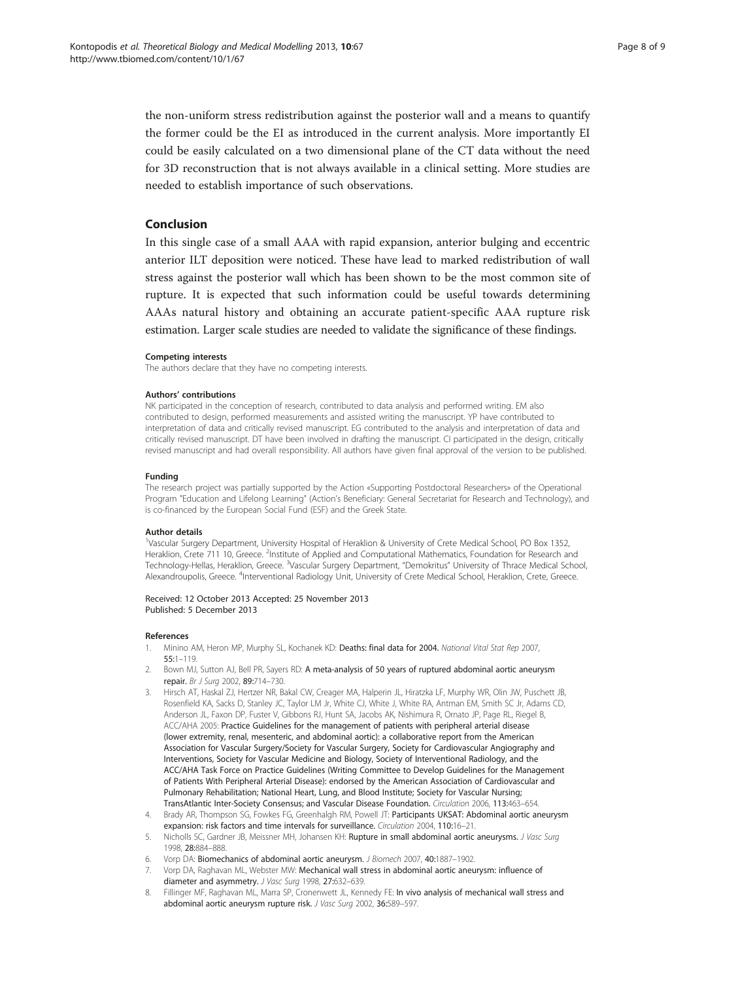<span id="page-7-0"></span>the non-uniform stress redistribution against the posterior wall and a means to quantify the former could be the EI as introduced in the current analysis. More importantly EI could be easily calculated on a two dimensional plane of the CT data without the need for 3D reconstruction that is not always available in a clinical setting. More studies are needed to establish importance of such observations.

# Conclusion

In this single case of a small AAA with rapid expansion, anterior bulging and eccentric anterior ILT deposition were noticed. These have lead to marked redistribution of wall stress against the posterior wall which has been shown to be the most common site of rupture. It is expected that such information could be useful towards determining AAAs natural history and obtaining an accurate patient-specific AAA rupture risk estimation. Larger scale studies are needed to validate the significance of these findings.

#### Competing interests

The authors declare that they have no competing interests.

#### Authors' contributions

NK participated in the conception of research, contributed to data analysis and performed writing. EM also contributed to design, performed measurements and assisted writing the manuscript. YP have contributed to interpretation of data and critically revised manuscript. EG contributed to the analysis and interpretation of data and critically revised manuscript. DT have been involved in drafting the manuscript. CI participated in the design, critically revised manuscript and had overall responsibility. All authors have given final approval of the version to be published.

#### Funding

The research project was partially supported by the Action «Supporting Postdoctoral Researchers» of the Operational Program "Education and Lifelong Learning" (Action's Beneficiary: General Secretariat for Research and Technology), and is co-financed by the European Social Fund (ESF) and the Greek State.

#### Author details

<sup>1</sup>Vascular Surgery Department, University Hospital of Heraklion & University of Crete Medical School, PO Box 1352 Heraklion, Crete 711 10, Greece. <sup>2</sup>Institute of Applied and Computational Mathematics, Foundation for Research and Technology-Hellas, Heraklion, Greece. <sup>3</sup>Vascular Surgery Department, "Demokritus" University of Thrace Medical School Alexandroupolis, Greece. <sup>4</sup>Interventional Radiology Unit, University of Crete Medical School, Heraklion, Crete, Greece

#### Received: 12 October 2013 Accepted: 25 November 2013 Published: 5 December 2013

#### References

- 1. Minino AM, Heron MP, Murphy SL, Kochanek KD: Deaths: final data for 2004. National Vital Stat Rep 2007, 55:1–119.
- 2. Bown MJ, Sutton AJ, Bell PR, Sayers RD: A meta-analysis of 50 years of ruptured abdominal aortic aneurysm repair. Br J Surg 2002, 89:714–730.
- 3. Hirsch AT, Haskal ZJ, Hertzer NR, Bakal CW, Creager MA, Halperin JL, Hiratzka LF, Murphy WR, Olin JW, Puschett JB, Rosenfield KA, Sacks D, Stanley JC, Taylor LM Jr, White CJ, White J, White RA, Antman EM, Smith SC Jr, Adams CD, Anderson JL, Faxon DP, Fuster V, Gibbons RJ, Hunt SA, Jacobs AK, Nishimura R, Ornato JP, Page RL, Riegel B, ACC/AHA 2005: Practice Guidelines for the management of patients with peripheral arterial disease (lower extremity, renal, mesenteric, and abdominal aortic): a collaborative report from the American Association for Vascular Surgery/Society for Vascular Surgery, Society for Cardiovascular Angiography and Interventions, Society for Vascular Medicine and Biology, Society of Interventional Radiology, and the ACC/AHA Task Force on Practice Guidelines (Writing Committee to Develop Guidelines for the Management of Patients With Peripheral Arterial Disease): endorsed by the American Association of Cardiovascular and Pulmonary Rehabilitation; National Heart, Lung, and Blood Institute; Society for Vascular Nursing; TransAtlantic Inter-Society Consensus; and Vascular Disease Foundation. Circulation 2006, 113:463–654.
- 4. Brady AR, Thompson SG, Fowkes FG, Greenhalgh RM, Powell JT: Participants UKSAT: Abdominal aortic aneurysm expansion: risk factors and time intervals for surveillance. Circulation 2004, 110:16–21.
- 5. Nicholls SC, Gardner JB, Meissner MH, Johansen KH: Rupture in small abdominal aortic aneurysms. J Vasc Surg 1998, 28:884–888.
- 6. Vorp DA: Biomechanics of abdominal aortic aneurysm. J Biomech 2007, 40:1887–1902.
- 7. Vorp DA, Raghavan ML, Webster MW: Mechanical wall stress in abdominal aortic aneurysm: influence of diameter and asymmetry. J Vasc Surg 1998, 27:632-639.
- 8. Fillinger MF, Raghavan ML, Marra SP, Cronenwett JL, Kennedy FE: In vivo analysis of mechanical wall stress and abdominal aortic aneurysm rupture risk. J Vasc Surg 2002, 36:589-597.